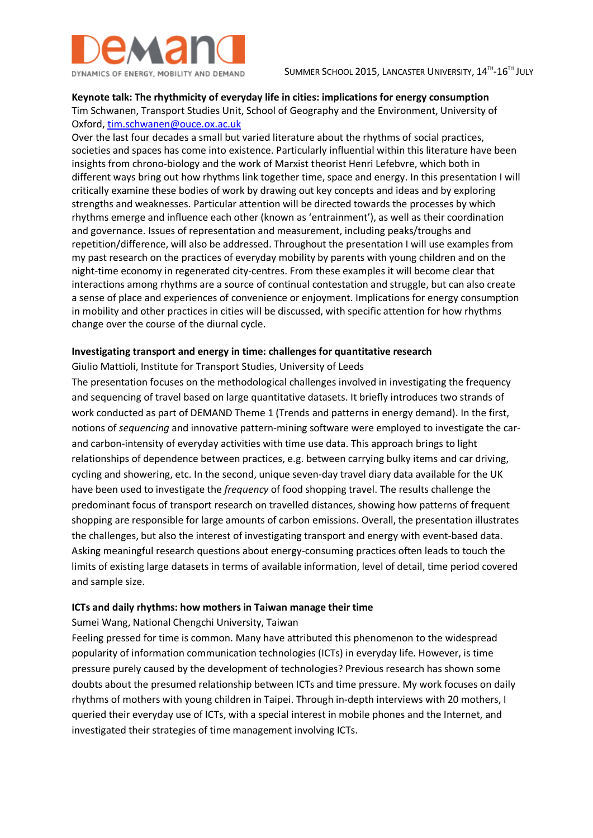

## **Keynote talk: The rhythmicity of everyday life in cities: implications for energy consumption** Tim Schwanen, Transport Studies Unit, School of Geography and the Environment, University of Oxford, [tim.schwanen@ouce.ox.ac.uk](mailto:tim.schwanen@ouce.ox.ac.uk)

Over the last four decades a small but varied literature about the rhythms of social practices, societies and spaces has come into existence. Particularly influential within this literature have been insights from chrono-biology and the work of Marxist theorist Henri Lefebvre, which both in different ways bring out how rhythms link together time, space and energy. In this presentation I will critically examine these bodies of work by drawing out key concepts and ideas and by exploring strengths and weaknesses. Particular attention will be directed towards the processes by which rhythms emerge and influence each other (known as 'entrainment'), as well as their coordination and governance. Issues of representation and measurement, including peaks/troughs and repetition/difference, will also be addressed. Throughout the presentation I will use examples from my past research on the practices of everyday mobility by parents with young children and on the night-time economy in regenerated city-centres. From these examples it will become clear that interactions among rhythms are a source of continual contestation and struggle, but can also create a sense of place and experiences of convenience or enjoyment. Implications for energy consumption in mobility and other practices in cities will be discussed, with specific attention for how rhythms change over the course of the diurnal cycle.

### **Investigating transport and energy in time: challenges for quantitative research**

Giulio Mattioli, Institute for Transport Studies, University of Leeds

The presentation focuses on the methodological challenges involved in investigating the frequency and sequencing of travel based on large quantitative datasets. It briefly introduces two strands of work conducted as part of DEMAND Theme 1 (Trends and patterns in energy demand). In the first, notions of *sequencing* and innovative pattern-mining software were employed to investigate the carand carbon-intensity of everyday activities with time use data. This approach brings to light relationships of dependence between practices, e.g. between carrying bulky items and car driving, cycling and showering, etc. In the second, unique seven-day travel diary data available for the UK have been used to investigate the *frequency* of food shopping travel. The results challenge the predominant focus of transport research on travelled distances, showing how patterns of frequent shopping are responsible for large amounts of carbon emissions. Overall, the presentation illustrates the challenges, but also the interest of investigating transport and energy with event-based data. Asking meaningful research questions about energy-consuming practices often leads to touch the limits of existing large datasets in terms of available information, level of detail, time period covered and sample size.

## **ICTs and daily rhythms: how mothers in Taiwan manage their time**

Sumei Wang, National Chengchi University, Taiwan

Feeling pressed for time is common. Many have attributed this phenomenon to the widespread popularity of information communication technologies (ICTs) in everyday life. However, is time pressure purely caused by the development of technologies? Previous research has shown some doubts about the presumed relationship between ICTs and time pressure. My work focuses on daily rhythms of mothers with young children in Taipei. Through in-depth interviews with 20 mothers, I queried their everyday use of ICTs, with a special interest in mobile phones and the Internet, and investigated their strategies of time management involving ICTs.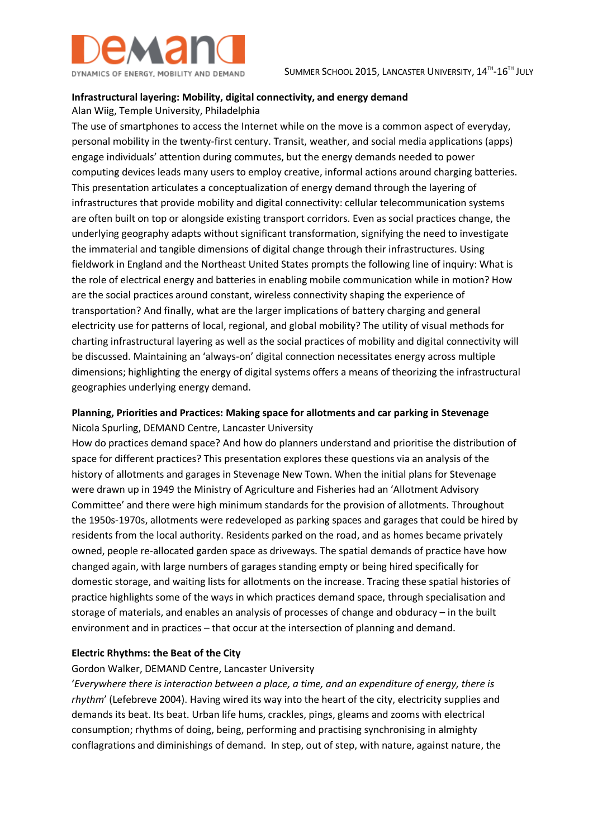

### **Infrastructural layering: Mobility, digital connectivity, and energy demand** Alan Wiig, Temple University, Philadelphia

The use of smartphones to access the Internet while on the move is a common aspect of everyday, personal mobility in the twenty-first century. Transit, weather, and social media applications (apps) engage individuals' attention during commutes, but the energy demands needed to power computing devices leads many users to employ creative, informal actions around charging batteries. This presentation articulates a conceptualization of energy demand through the layering of infrastructures that provide mobility and digital connectivity: cellular telecommunication systems are often built on top or alongside existing transport corridors. Even as social practices change, the underlying geography adapts without significant transformation, signifying the need to investigate the immaterial and tangible dimensions of digital change through their infrastructures. Using fieldwork in England and the Northeast United States prompts the following line of inquiry: What is the role of electrical energy and batteries in enabling mobile communication while in motion? How are the social practices around constant, wireless connectivity shaping the experience of transportation? And finally, what are the larger implications of battery charging and general electricity use for patterns of local, regional, and global mobility? The utility of visual methods for charting infrastructural layering as well as the social practices of mobility and digital connectivity will be discussed. Maintaining an 'always-on' digital connection necessitates energy across multiple dimensions; highlighting the energy of digital systems offers a means of theorizing the infrastructural geographies underlying energy demand.

# **Planning, Priorities and Practices: Making space for allotments and car parking in Stevenage** Nicola Spurling, DEMAND Centre, Lancaster University

How do practices demand space? And how do planners understand and prioritise the distribution of space for different practices? This presentation explores these questions via an analysis of the history of allotments and garages in Stevenage New Town. When the initial plans for Stevenage were drawn up in 1949 the Ministry of Agriculture and Fisheries had an 'Allotment Advisory Committee' and there were high minimum standards for the provision of allotments. Throughout the 1950s-1970s, allotments were redeveloped as parking spaces and garages that could be hired by residents from the local authority. Residents parked on the road, and as homes became privately owned, people re-allocated garden space as driveways. The spatial demands of practice have how changed again, with large numbers of garages standing empty or being hired specifically for domestic storage, and waiting lists for allotments on the increase. Tracing these spatial histories of practice highlights some of the ways in which practices demand space, through specialisation and storage of materials, and enables an analysis of processes of change and obduracy – in the built environment and in practices – that occur at the intersection of planning and demand.

## **Electric Rhythms: the Beat of the City**

## Gordon Walker, DEMAND Centre, Lancaster University

'*Everywhere there is interaction between a place, a time, and an expenditure of energy, there is rhythm*' (Lefebreve 2004). Having wired its way into the heart of the city, electricity supplies and demands its beat. Its beat. Urban life hums, crackles, pings, gleams and zooms with electrical consumption; rhythms of doing, being, performing and practising synchronising in almighty conflagrations and diminishings of demand. In step, out of step, with nature, against nature, the